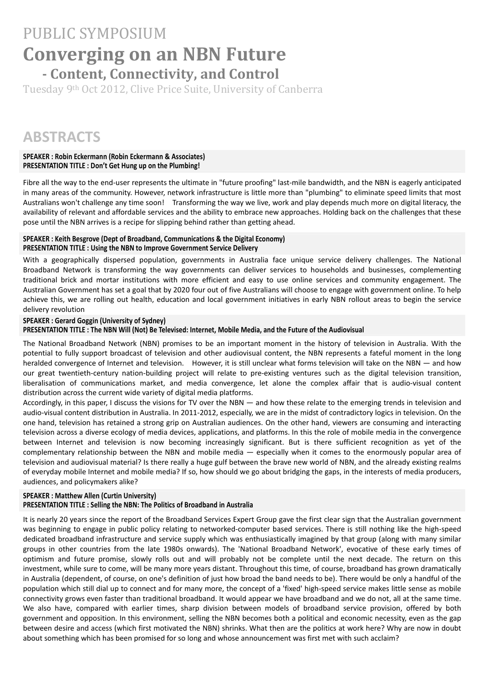# PUBLIC SYMPOSIUM **Converging on an NBN Future ‐ Content, Connectivity, and Control**

Tuesday 9<sup>th</sup> Oct 2012, Clive Price Suite, University of Canberra

# **ABSTRACTS**

#### **SPEAKER : Robin Eckermann (Robin Eckermann & Associates) PRESENTATION TITLE : Don't Get Hung up on the Plumbing!**

Fibre all the way to the end-user represents the ultimate in "future proofing" last-mile bandwidth, and the NBN is eagerly anticipated in many areas of the community. However, network infrastructure is little more than "plumbing" to eliminate speed limits that most Australians won't challenge any time soon! Transforming the way we live, work and play depends much more on digital literacy, the availability of relevant and affordable services and the ability to embrace new approaches. Holding back on the challenges that these pose until the NBN arrives is a recipe for slipping behind rather than getting ahead.

#### **SPEAKER : Keith Besgrove (Dept of Broadband, Communications & the Digital Economy) PRESENTATION TITLE : Using the NBN to Improve Government Service Delivery**

With a geographically dispersed population, governments in Australia face unique service delivery challenges. The National Broadband Network is transforming the way governments can deliver services to households and businesses, complementing traditional brick and mortar institutions with more efficient and easy to use online services and community engagement. The Australian Government has set a goal that by 2020 four out of five Australians will choose to engage with government online. To help achieve this, we are rolling out health, education and local government initiatives in early NBN rollout areas to begin the service delivery revolution

## **SPEAKER : Gerard Goggin (University of Sydney)**

PRESENTATION TITLE : The NBN Will (Not) Be Televised: Internet, Mobile Media, and the Future of the Audiovisual

The National Broadband Network (NBN) promises to be an important moment in the history of television in Australia. With the potential to fully support broadcast of television and other audiovisual content, the NBN represents a fateful moment in the long heralded convergence of Internet and television. However, it is still unclear what forms television will take on the NBN - and how our great twentieth-century nation-building project will relate to pre-existing ventures such as the digital television transition, liberalisation of communications market, and media convergence, let alone the complex affair that is audio‐visual content distribution across the current wide variety of digital media platforms.

Accordingly, in this paper, I discuss the visions for TV over the NBN — and how these relate to the emerging trends in television and audio‐visual content distribution in Australia. In 2011‐2012, especially, we are in the midst of contradictory logics in television. On the one hand, television has retained a strong grip on Australian audiences. On the other hand, viewers are consuming and interacting television across a diverse ecology of media devices, applications, and platforms. In this the role of mobile media in the convergence between Internet and television is now becoming increasingly significant. But is there sufficient recognition as yet of the complementary relationship between the NBN and mobile media — especially when it comes to the enormously popular area of television and audiovisual material? Is there really a huge gulf between the brave new world of NBN, and the already existing realms of everyday mobile Internet and mobile media? If so, how should we go about bridging the gaps, in the interests of media producers, audiences, and policymakers alike?

### **SPEAKER : Matthew Allen (Curtin University) PRESENTATION TITLE : Selling the NBN: The Politics of Broadband in Australia**

It is nearly 20 years since the report of the Broadband Services Expert Group gave the first clear sign that the Australian government was beginning to engage in public policy relating to networked-computer based services. There is still nothing like the high-speed dedicated broadband infrastructure and service supply which was enthusiastically imagined by that group (along with many similar groups in other countries from the late 1980s onwards). The 'National Broadband Network', evocative of these early times of optimism and future promise, slowly rolls out and will probably not be complete until the next decade. The return on this investment, while sure to come, will be many more years distant. Throughout this time, of course, broadband has grown dramatically in Australia (dependent, of course, on one's definition of just how broad the band needs to be). There would be only a handful of the population which still dial up to connect and for many more, the concept of a 'fixed' high-speed service makes little sense as mobile connectivity grows even faster than traditional broadband. It would appear we have broadband and we do not, all at the same time. We also have, compared with earlier times, sharp division between models of broadband service provision, offered by both government and opposition. In this environment, selling the NBN becomes both a political and economic necessity, even as the gap between desire and access (which first motivated the NBN) shrinks. What then are the politics at work here? Why are now in doubt about something which has been promised for so long and whose announcement was first met with such acclaim?